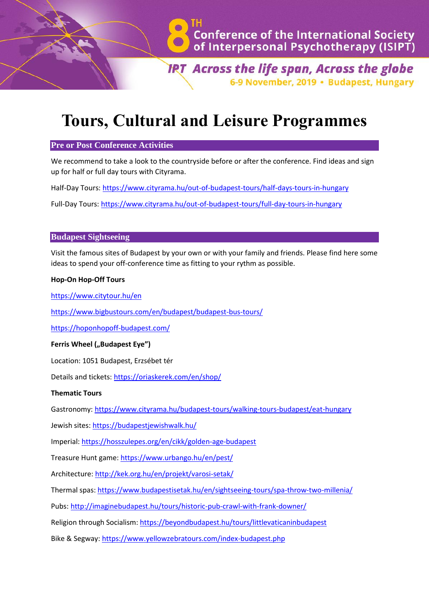

**IRT Across the life span, Across the globe** 6-9 November, 2019 · Budapest, Hungary

# **Tours, Cultural and Leisure Programmes**

## **Pre or Post Conference Activities**

We recommend to take a look to the countryside before or after the conference. Find ideas and sign up for half or full day tours with Cityrama.

Half-Day Tours:<https://www.cityrama.hu/out-of-budapest-tours/half-days-tours-in-hungary>

Full-Day Tours:<https://www.cityrama.hu/out-of-budapest-tours/full-day-tours-in-hungary>

## **Budapest Sightseeing**

Visit the famous sites of Budapest by your own or with your family and friends. Please find here some ideas to spend your off-conference time as fitting to your rythm as possible.

#### **Hop-On Hop-Off Tours**

<https://www.citytour.hu/en>

<https://www.bigbustours.com/en/budapest/budapest-bus-tours/>

<https://hoponhopoff-budapest.com/>

#### **Ferris Wheel ("Budapest Eye")**

Location: 1051 Budapest, Erzsébet tér

Details and tickets:<https://oriaskerek.com/en/shop/>

## **Thematic Tours**

Gastronomy:<https://www.cityrama.hu/budapest-tours/walking-tours-budapest/eat-hungary>

Jewish sites[: https://budapestjewishwalk.hu/](https://budapestjewishwalk.hu/)

Imperial:<https://hosszulepes.org/en/cikk/golden-age-budapest>

Treasure Hunt game:<https://www.urbango.hu/en/pest/>

Architecture:<http://kek.org.hu/en/projekt/varosi-setak/>

Thermal spas[: https://www.budapestisetak.hu/en/sightseeing-tours/spa-throw-two-millenia/](https://www.budapestisetak.hu/en/sightseeing-tours/spa-throw-two-millenia/)

Pubs:<http://imaginebudapest.hu/tours/historic-pub-crawl-with-frank-downer/>

Religion through Socialism:<https://beyondbudapest.hu/tours/littlevaticaninbudapest>

Bike & Segway: <https://www.yellowzebratours.com/index-budapest.php>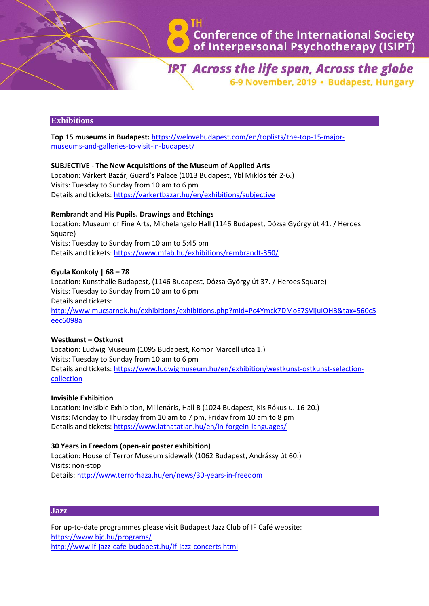

**IRT** Across the life span, Across the globe 6-9 November, 2019 · Budapest, Hungary

# **Exhibitions**

**Top 15 museums in Budapest:** [https://welovebudapest.com/en/toplists/the-top-15-major](https://welovebudapest.com/en/toplists/the-top-15-major-museums-and-galleries-to-visit-in-budapest/)[museums-and-galleries-to-visit-in-budapest/](https://welovebudapest.com/en/toplists/the-top-15-major-museums-and-galleries-to-visit-in-budapest/)

## **SUBJECTIVE - The New Acquisitions of the Museum of Applied Arts**

Location: Várkert Bazár, Guard's Palace (1013 Budapest, Ybl Miklós tér 2-6.) Visits: Tuesday to Sunday from 10 am to 6 pm Details and tickets:<https://varkertbazar.hu/en/exhibitions/subjective>

#### **Rembrandt and His Pupils. Drawings and Etchings**

Location: Museum of Fine Arts, Michelangelo Hall (1146 Budapest, Dózsa György út 41. / Heroes Square) Visits: Tuesday to Sunday from 10 am to 5:45 pm Details and tickets:<https://www.mfab.hu/exhibitions/rembrandt-350/>

## **Gyula Konkoly | 68 – 78**

Location: Kunsthalle Budapest, (1146 Budapest, Dózsa György út 37. / Heroes Square) Visits: Tuesday to Sunday from 10 am to 6 pm Details and tickets: [http://www.mucsarnok.hu/exhibitions/exhibitions.php?mid=Pc4Ymck7DMoE7SVijuIOHB&tax=560c5](http://www.mucsarnok.hu/exhibitions/exhibitions.php?mid=Pc4Ymck7DMoE7SVijuIOHB&tax=560c5eec6098a) [eec6098a](http://www.mucsarnok.hu/exhibitions/exhibitions.php?mid=Pc4Ymck7DMoE7SVijuIOHB&tax=560c5eec6098a)

#### **Westkunst – Ostkunst**

Location: Ludwig Museum (1095 Budapest, Komor Marcell utca 1.) Visits: Tuesday to Sunday from 10 am to 6 pm Details and tickets: [https://www.ludwigmuseum.hu/en/exhibition/westkunst-ostkunst-selection](https://www.ludwigmuseum.hu/en/exhibition/westkunst-ostkunst-selection-collection)[collection](https://www.ludwigmuseum.hu/en/exhibition/westkunst-ostkunst-selection-collection)

#### **Invisible Exhibition**

Location: Invisible Exhibition, Millenáris, Hall B (1024 Budapest, Kis Rókus u. 16-20.) Visits: Monday to Thursday from 10 am to 7 pm, Friday from 10 am to 8 pm Details and tickets: <https://www.lathatatlan.hu/en/in-forgein-languages/>

#### **30 Years in Freedom (open-air poster exhibition)**

Location: House of Terror Museum sidewalk (1062 Budapest, Andrássy út 60.) Visits: non-stop Details:<http://www.terrorhaza.hu/en/news/30-years-in-freedom>

#### **Jazz**

For up-to-date programmes please visit Budapest Jazz Club of IF Café website: <https://www.bjc.hu/programs/> <http://www.if-jazz-cafe-budapest.hu/if-jazz-concerts.html>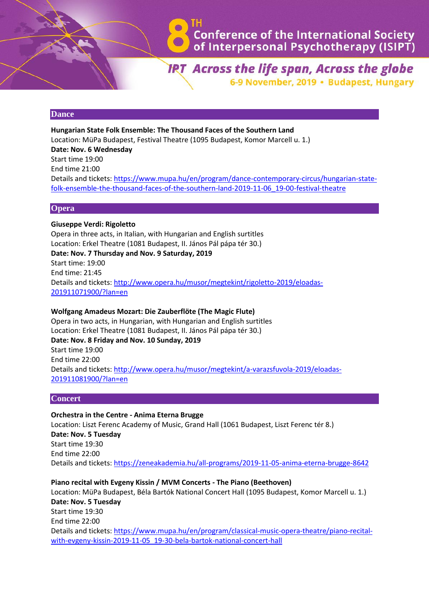

**IRT** Across the life span, Across the globe 6-9 November, 2019 · Budapest, Hungary

## **Dance**

**Hungarian State Folk Ensemble: The Thousand Faces of the Southern Land** Location: MüPa Budapest, Festival Theatre (1095 Budapest, Komor Marcell u. 1.) **Date: Nov. 6 Wednesday** Start time 19:00 End time 21:00 Details and tickets: [https://www.mupa.hu/en/program/dance-contemporary-circus/hungarian-state](https://www.mupa.hu/en/program/dance-contemporary-circus/hungarian-state-folk-ensemble-the-thousand-faces-of-the-southern-land-2019-11-06_19-00-festival-theatre)[folk-ensemble-the-thousand-faces-of-the-southern-land-2019-11-06\\_19-00-festival-theatre](https://www.mupa.hu/en/program/dance-contemporary-circus/hungarian-state-folk-ensemble-the-thousand-faces-of-the-southern-land-2019-11-06_19-00-festival-theatre)

## **Opera**

# **Giuseppe Verdi: Rigoletto**

Opera in three acts, in Italian, with Hungarian and English surtitles Location: Erkel Theatre (1081 Budapest, II. János Pál pápa tér 30.) **Date: Nov. 7 Thursday and Nov. 9 Saturday, 2019** Start time: 19:00 End time: 21:45 Details and tickets: [http://www.opera.hu/musor/megtekint/rigoletto-2019/eloadas-](http://www.opera.hu/musor/megtekint/rigoletto-2019/eloadas-201911071900/?lan=en)[201911071900/?lan=en](http://www.opera.hu/musor/megtekint/rigoletto-2019/eloadas-201911071900/?lan=en)

# **Wolfgang Amadeus Mozart: Die Zauberflöte (The Magic Flute)**

Opera in two acts, in Hungarian, with Hungarian and English surtitles Location: Erkel Theatre (1081 Budapest, II. János Pál pápa tér 30.) **Date: Nov. 8 Friday and Nov. 10 Sunday, 2019** Start time 19:00 End time 22:00 Details and tickets: [http://www.opera.hu/musor/megtekint/a-varazsfuvola-2019/eloadas-](http://www.opera.hu/musor/megtekint/a-varazsfuvola-2019/eloadas-201911081900/?lan=en)[201911081900/?lan=en](http://www.opera.hu/musor/megtekint/a-varazsfuvola-2019/eloadas-201911081900/?lan=en)

#### **Concert**

**Orchestra in the Centre - Anima Eterna Brugge** Location: Liszt Ferenc Academy of Music, Grand Hall (1061 Budapest, Liszt Ferenc tér 8.) **Date: Nov. 5 Tuesday** Start time 19:30 End time 22:00 Details and tickets:<https://zeneakademia.hu/all-programs/2019-11-05-anima-eterna-brugge-8642>

**Piano recital with Evgeny Kissin / MVM Concerts - The Piano (Beethoven)** Location: MüPa Budapest, Béla Bartók National Concert Hall (1095 Budapest, Komor Marcell u. 1.) **Date: Nov. 5 Tuesday** Start time 19:30 End time 22:00 Details and tickets: [https://www.mupa.hu/en/program/classical-music-opera-theatre/piano-recital](https://www.mupa.hu/en/program/classical-music-opera-theatre/piano-recital-with-evgeny-kissin-2019-11-05_19-30-bela-bartok-national-concert-hall)[with-evgeny-kissin-2019-11-05\\_19-30-bela-bartok-national-concert-hall](https://www.mupa.hu/en/program/classical-music-opera-theatre/piano-recital-with-evgeny-kissin-2019-11-05_19-30-bela-bartok-national-concert-hall)